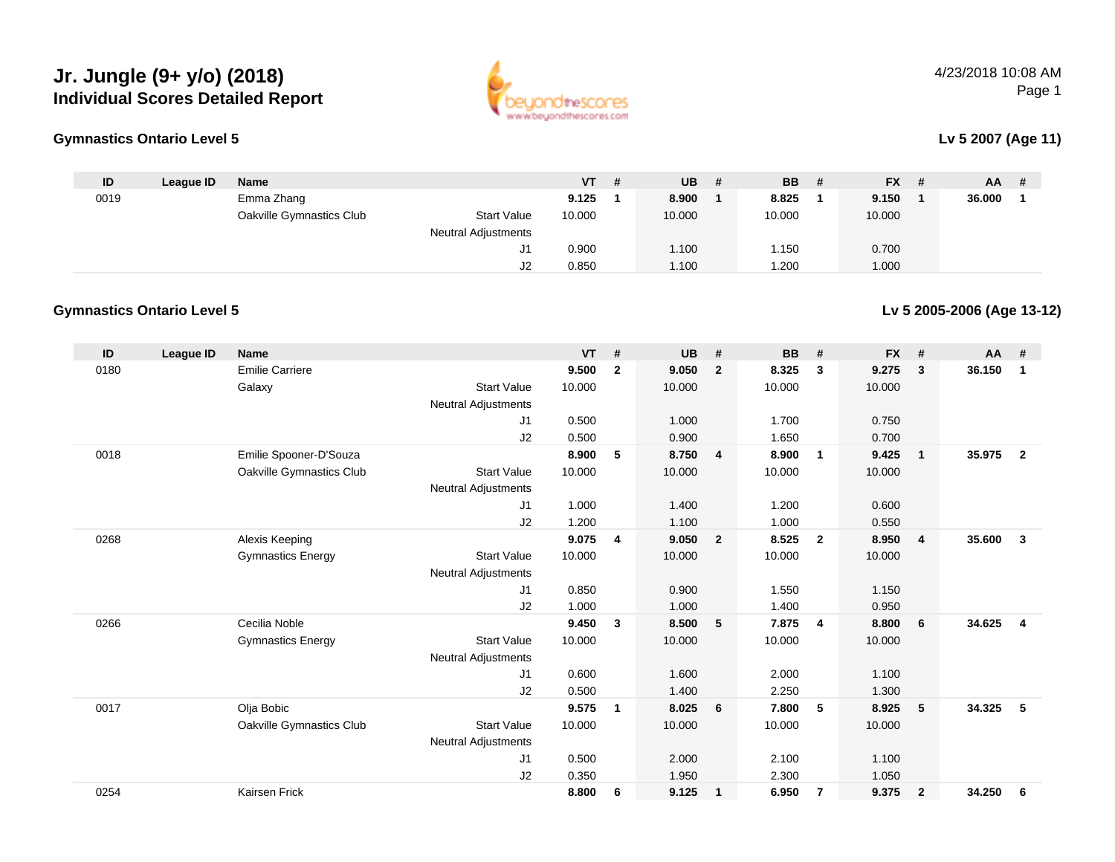# **Jr. Jungle (9+ y/o) (2018) Individual Scores Detailed Report**





#### **Lv 5 2007 (Age 11)**

| ID   | League ID | Name                     |                            | $VT$ # | $UB$ # | <b>BB</b> | - # | <b>FX</b> | -# | AA.    | # |
|------|-----------|--------------------------|----------------------------|--------|--------|-----------|-----|-----------|----|--------|---|
| 0019 |           | Emma Zhang               |                            | 9.125  | 8.900  | 8.825     |     | 9.150     |    | 36.000 |   |
|      |           | Oakville Gymnastics Club | <b>Start Value</b>         | 10.000 | 10.000 | 10.000    |     | 10.000    |    |        |   |
|      |           |                          | <b>Neutral Adjustments</b> |        |        |           |     |           |    |        |   |
|      |           |                          | ັປ!                        | 0.900  | 1.100  | .150      |     | 0.700     |    |        |   |
|      |           |                          | J2                         | 0.850  | 1.100  | .200      |     | 1.000     |    |        |   |

#### **Gymnastics Ontario Level 5**

**Lv 5 2005-2006 (Age 13-12)**

| ID   | League ID | <b>Name</b>              |                            | <b>VT</b> | #            | <b>UB</b> | #              | <b>BB</b> | #              | <b>FX</b> | #              | <b>AA</b> | #              |
|------|-----------|--------------------------|----------------------------|-----------|--------------|-----------|----------------|-----------|----------------|-----------|----------------|-----------|----------------|
| 0180 |           | <b>Emilie Carriere</b>   |                            | 9.500     | $\mathbf{2}$ | 9.050     | $\overline{2}$ | 8.325     | 3              | 9.275     | 3              | 36.150    | $\mathbf 1$    |
|      |           | Galaxy                   | <b>Start Value</b>         | 10.000    |              | 10.000    |                | 10.000    |                | 10.000    |                |           |                |
|      |           |                          | <b>Neutral Adjustments</b> |           |              |           |                |           |                |           |                |           |                |
|      |           |                          | J1                         | 0.500     |              | 1.000     |                | 1.700     |                | 0.750     |                |           |                |
|      |           |                          | J2                         | 0.500     |              | 0.900     |                | 1.650     |                | 0.700     |                |           |                |
| 0018 |           | Emilie Spooner-D'Souza   |                            | 8.900     | 5            | 8.750     | $\overline{4}$ | 8.900     | $\overline{1}$ | 9.425     | $\mathbf{1}$   | 35.975    | $\overline{2}$ |
|      |           | Oakville Gymnastics Club | <b>Start Value</b>         | 10.000    |              | 10.000    |                | 10.000    |                | 10.000    |                |           |                |
|      |           |                          | <b>Neutral Adjustments</b> |           |              |           |                |           |                |           |                |           |                |
|      |           |                          | J1                         | 1.000     |              | 1.400     |                | 1.200     |                | 0.600     |                |           |                |
|      |           |                          | J2                         | 1.200     |              | 1.100     |                | 1.000     |                | 0.550     |                |           |                |
| 0268 |           | Alexis Keeping           |                            | 9.075     | 4            | 9.050     | $\overline{2}$ | 8.525     | $\overline{2}$ | 8.950     | $\overline{4}$ | 35.600    | $\mathbf{3}$   |
|      |           | <b>Gymnastics Energy</b> | <b>Start Value</b>         | 10.000    |              | 10.000    |                | 10.000    |                | 10.000    |                |           |                |
|      |           |                          | <b>Neutral Adjustments</b> |           |              |           |                |           |                |           |                |           |                |
|      |           |                          | J <sub>1</sub>             | 0.850     |              | 0.900     |                | 1.550     |                | 1.150     |                |           |                |
|      |           |                          | J2                         | 1.000     |              | 1.000     |                | 1.400     |                | 0.950     |                |           |                |
| 0266 |           | Cecilia Noble            |                            | 9.450     | 3            | 8.500     | 5              | 7.875     | $\overline{4}$ | 8.800     | 6              | 34.625    | $\overline{4}$ |
|      |           | <b>Gymnastics Energy</b> | <b>Start Value</b>         | 10.000    |              | 10.000    |                | 10.000    |                | 10.000    |                |           |                |
|      |           |                          | <b>Neutral Adjustments</b> |           |              |           |                |           |                |           |                |           |                |
|      |           |                          | J1                         | 0.600     |              | 1.600     |                | 2.000     |                | 1.100     |                |           |                |
|      |           |                          | J2                         | 0.500     |              | 1.400     |                | 2.250     |                | 1.300     |                |           |                |
| 0017 |           | Olja Bobic               |                            | 9.575     | 1            | 8.025     | - 6            | 7.800     | 5              | 8.925     | 5              | 34.325    | 5              |
|      |           | Oakville Gymnastics Club | <b>Start Value</b>         | 10.000    |              | 10.000    |                | 10.000    |                | 10.000    |                |           |                |
|      |           |                          | <b>Neutral Adjustments</b> |           |              |           |                |           |                |           |                |           |                |
|      |           |                          | J1                         | 0.500     |              | 2.000     |                | 2.100     |                | 1.100     |                |           |                |
|      |           |                          | J <sub>2</sub>             | 0.350     |              | 1.950     |                | 2.300     |                | 1.050     |                |           |                |
| 0254 |           | Kairsen Frick            |                            | 8.800     | 6            | 9.125     | $\overline{1}$ | 6.950     | $\overline{7}$ | 9.375     | $\mathbf{2}$   | 34.250    | 6              |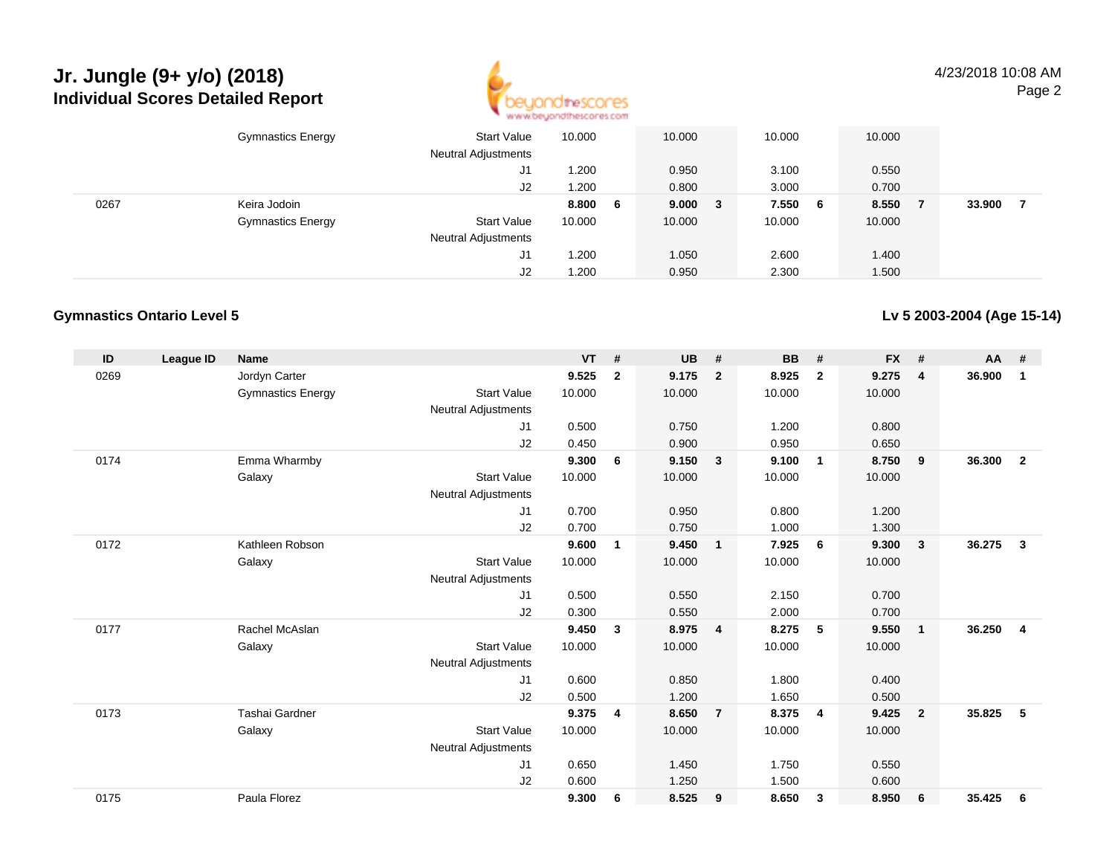# **Jr. Jungle (9+ y/o) (2018) Individual Scores Detailed Report**



4/23/2018 10:08 AMPage 2

|      | <b>Gymnastics Energy</b> | <b>Start Value</b><br><b>Neutral Adjustments</b> | 10.000 |   | 10.000  | 10.000 |     | 10.000 |        |  |
|------|--------------------------|--------------------------------------------------|--------|---|---------|--------|-----|--------|--------|--|
|      |                          | J1                                               | .200   |   | 0.950   | 3.100  |     | 0.550  |        |  |
|      |                          | J2                                               | 1.200  |   | 0.800   | 3.000  |     | 0.700  |        |  |
| 0267 | Keira Jodoin             |                                                  | 8.800  | 6 | 9.000 3 | 7.550  | - 6 | 8.550  | 33.900 |  |
|      | <b>Gymnastics Energy</b> | <b>Start Value</b>                               | 10.000 |   | 10.000  | 10.000 |     | 10.000 |        |  |
|      |                          | <b>Neutral Adjustments</b>                       |        |   |         |        |     |        |        |  |
|      |                          | J1                                               | 1.200  |   | 1.050   | 2.600  |     | 1.400  |        |  |
|      |                          | J2                                               | .200   |   | 0.950   | 2.300  |     | 1.500  |        |  |

#### **Gymnastics Ontario Level 5**

**Lv 5 2003-2004 (Age 15-14)**

| ID   | League ID | <b>Name</b>              |                            | <b>VT</b> | #              | <b>UB</b> | #                       | <b>BB</b> | #                | <b>FX</b> | #              | <b>AA</b> | #              |
|------|-----------|--------------------------|----------------------------|-----------|----------------|-----------|-------------------------|-----------|------------------|-----------|----------------|-----------|----------------|
| 0269 |           | Jordyn Carter            |                            | 9.525     | $\overline{2}$ | 9.175     | $\overline{2}$          | 8.925     | $\overline{2}$   | 9.275     | $\overline{4}$ | 36.900    | 1              |
|      |           | <b>Gymnastics Energy</b> | <b>Start Value</b>         | 10.000    |                | 10.000    |                         | 10.000    |                  | 10.000    |                |           |                |
|      |           |                          | <b>Neutral Adjustments</b> |           |                |           |                         |           |                  |           |                |           |                |
|      |           |                          | J1                         | 0.500     |                | 0.750     |                         | 1.200     |                  | 0.800     |                |           |                |
|      |           |                          | J <sub>2</sub>             | 0.450     |                | 0.900     |                         | 0.950     |                  | 0.650     |                |           |                |
| 0174 |           | Emma Wharmby             |                            | 9.300     | 6              | 9.150     | $\overline{\mathbf{3}}$ | 9.100     | $\mathbf{1}$     | 8.750     | 9              | 36.300    | $\overline{2}$ |
|      |           | Galaxy                   | <b>Start Value</b>         | 10.000    |                | 10.000    |                         | 10.000    |                  | 10.000    |                |           |                |
|      |           |                          | <b>Neutral Adjustments</b> |           |                |           |                         |           |                  |           |                |           |                |
|      |           |                          | J1                         | 0.700     |                | 0.950     |                         | 0.800     |                  | 1.200     |                |           |                |
|      |           |                          | J2                         | 0.700     |                | 0.750     |                         | 1.000     |                  | 1.300     |                |           |                |
| 0172 |           | Kathleen Robson          |                            | 9.600     | 1              | 9.450     | $\overline{1}$          | 7.925     | - 6              | 9.300     | 3              | 36.275    | $\mathbf{3}$   |
|      |           | Galaxy                   | <b>Start Value</b>         | 10.000    |                | 10.000    |                         | 10.000    |                  | 10.000    |                |           |                |
|      |           |                          | Neutral Adjustments        |           |                |           |                         |           |                  |           |                |           |                |
|      |           |                          | J <sub>1</sub>             | 0.500     |                | 0.550     |                         | 2.150     |                  | 0.700     |                |           |                |
|      |           |                          | J2                         | 0.300     |                | 0.550     |                         | 2.000     |                  | 0.700     |                |           |                |
| 0177 |           | Rachel McAslan           |                            | 9.450     | 3              | 8.975     | $\overline{4}$          | 8.275     | 5                | 9.550     | $\mathbf{1}$   | 36.250    | $\overline{4}$ |
|      |           | Galaxy                   | <b>Start Value</b>         | 10.000    |                | 10.000    |                         | 10.000    |                  | 10.000    |                |           |                |
|      |           |                          | Neutral Adjustments        |           |                |           |                         |           |                  |           |                |           |                |
|      |           |                          | J1                         | 0.600     |                | 0.850     |                         | 1.800     |                  | 0.400     |                |           |                |
|      |           |                          | J2                         | 0.500     |                | 1.200     |                         | 1.650     |                  | 0.500     |                |           |                |
| 0173 |           | Tashai Gardner           |                            | 9.375     | 4              | 8.650     | $\overline{7}$          | 8.375     | $\overline{4}$   | 9.425     | $\overline{2}$ | 35.825    | 5              |
|      |           | Galaxy                   | <b>Start Value</b>         | 10.000    |                | 10.000    |                         | 10.000    |                  | 10.000    |                |           |                |
|      |           |                          | <b>Neutral Adjustments</b> |           |                |           |                         |           |                  |           |                |           |                |
|      |           |                          | J1                         | 0.650     |                | 1.450     |                         | 1.750     |                  | 0.550     |                |           |                |
|      |           |                          | J <sub>2</sub>             | 0.600     |                | 1.250     |                         | 1.500     |                  | 0.600     |                |           |                |
| 0175 |           | Paula Florez             |                            | 9.300     | 6              | 8.525     | 9                       | 8.650     | $\boldsymbol{3}$ | 8.950     | 6              | 35.425    | 6              |